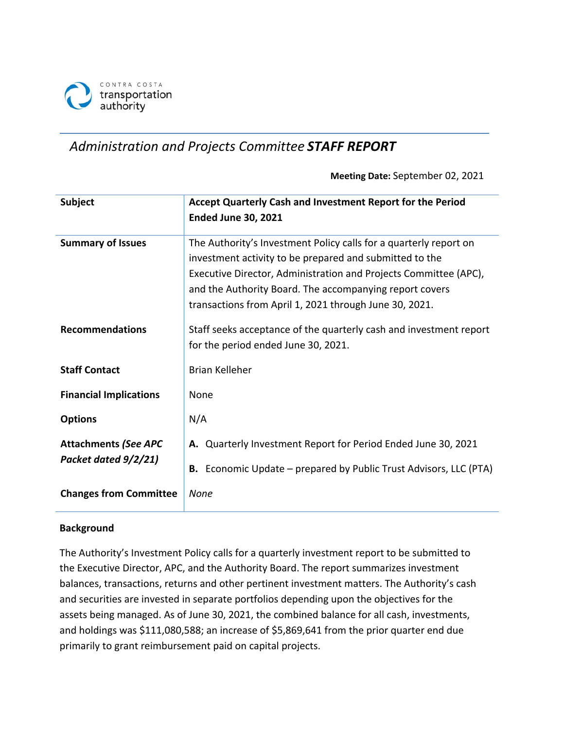

# *Administration and Projects Committee STAFF REPORT*

**Meeting Date:** September 02, 2021

| <b>Subject</b>                                         | Accept Quarterly Cash and Investment Report for the Period<br><b>Ended June 30, 2021</b>                                                                                                                                                                                                                              |  |  |
|--------------------------------------------------------|-----------------------------------------------------------------------------------------------------------------------------------------------------------------------------------------------------------------------------------------------------------------------------------------------------------------------|--|--|
| <b>Summary of Issues</b>                               | The Authority's Investment Policy calls for a quarterly report on<br>investment activity to be prepared and submitted to the<br>Executive Director, Administration and Projects Committee (APC),<br>and the Authority Board. The accompanying report covers<br>transactions from April 1, 2021 through June 30, 2021. |  |  |
| <b>Recommendations</b>                                 | Staff seeks acceptance of the quarterly cash and investment report<br>for the period ended June 30, 2021.                                                                                                                                                                                                             |  |  |
| <b>Staff Contact</b>                                   | <b>Brian Kelleher</b>                                                                                                                                                                                                                                                                                                 |  |  |
| <b>Financial Implications</b>                          | None                                                                                                                                                                                                                                                                                                                  |  |  |
| <b>Options</b>                                         | N/A                                                                                                                                                                                                                                                                                                                   |  |  |
| <b>Attachments (See APC</b><br>Packet dated $9/2/21$ ) | A. Quarterly Investment Report for Period Ended June 30, 2021<br><b>B.</b> Economic Update – prepared by Public Trust Advisors, LLC (PTA)                                                                                                                                                                             |  |  |
| <b>Changes from Committee</b>                          | None                                                                                                                                                                                                                                                                                                                  |  |  |

## **Background**

The Authority's Investment Policy calls for a quarterly investment report to be submitted to the Executive Director, APC, and the Authority Board. The report summarizes investment balances, transactions, returns and other pertinent investment matters. The Authority's cash and securities are invested in separate portfolios depending upon the objectives for the assets being managed. As of June 30, 2021, the combined balance for all cash, investments, and holdings was \$111,080,588; an increase of \$5,869,641 from the prior quarter end due primarily to grant reimbursement paid on capital projects.